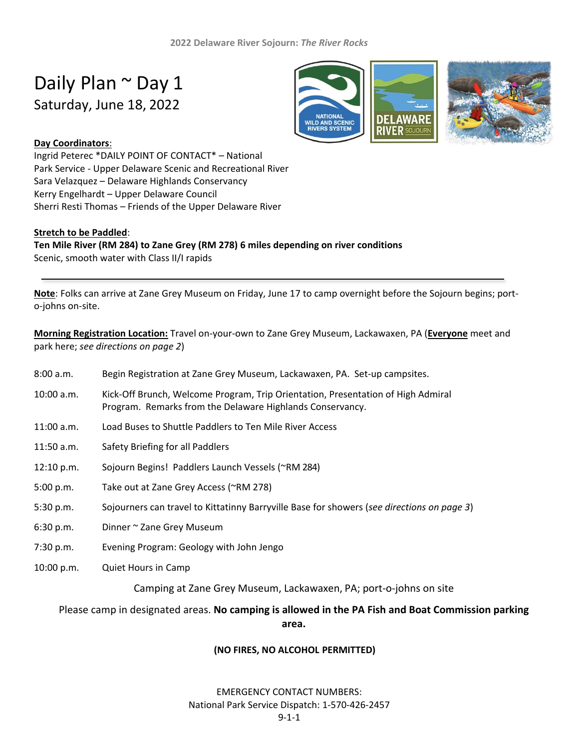# Daily Plan ~ Day 1 Saturday, June 18, 2022



## **Day Coordinators**:

Ingrid Peterec \*DAILY POINT OF CONTACT\* – National Park Service - Upper Delaware Scenic and Recreational River Sara Velazquez – Delaware Highlands Conservancy Kerry Engelhardt – Upper Delaware Council Sherri Resti Thomas – Friends of the Upper Delaware River

### **Stretch to be Paddled**:

#### **Ten Mile River (RM 284) to Zane Grey (RM 278) 6 miles depending on river conditions** Scenic, smooth water with Class II/I rapids

**Note**: Folks can arrive at Zane Grey Museum on Friday, June 17 to camp overnight before the Sojourn begins; porto-johns on-site.

**Morning Registration Location:** Travel on-your-own to Zane Grey Museum, Lackawaxen, PA (**Everyone** meet and park here; *see directions on page 2*)

- 8:00 a.m. Begin Registration at Zane Grey Museum, Lackawaxen, PA. Set-up campsites.
- 10:00 a.m. Kick-Off Brunch, Welcome Program, Trip Orientation, Presentation of High Admiral Program. Remarks from the Delaware Highlands Conservancy.
- 11:00 a.m. Load Buses to Shuttle Paddlers to Ten Mile River Access
- 11:50 a.m. Safety Briefing for all Paddlers
- 12:10 p.m. Sojourn Begins! Paddlers Launch Vessels (~RM 284)
- 5:00 p.m. Take out at Zane Grey Access (~RM 278)
- 5:30 p.m. Sojourners can travel to Kittatinny Barryville Base for showers (*see directions on page 3*)
- 6:30 p.m. Dinner ~ Zane Grey Museum
- 7:30 p.m. Evening Program: Geology with John Jengo
- 10:00 p.m. Quiet Hours in Camp

Camping at Zane Grey Museum, Lackawaxen, PA; port-o-johns on site

Please camp in designated areas. **No camping is allowed in the PA Fish and Boat Commission parking** 

**area.**

#### **(NO FIRES, NO ALCOHOL PERMITTED)**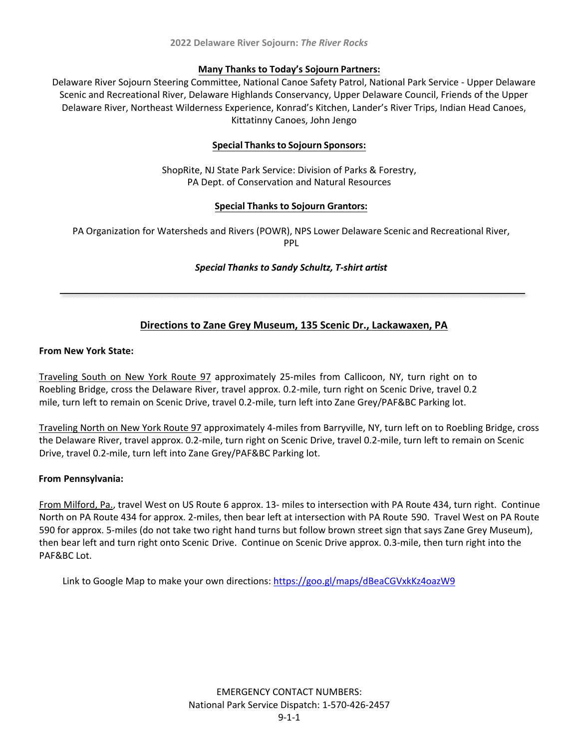#### **Many Thanks to Today's Sojourn Partners:**

Delaware River Sojourn Steering Committee, National Canoe Safety Patrol, National Park Service - Upper Delaware Scenic and Recreational River, Delaware Highlands Conservancy, Upper Delaware Council, Friends of the Upper Delaware River, Northeast Wilderness Experience, Konrad's Kitchen, Lander's River Trips, Indian Head Canoes, Kittatinny Canoes, John Jengo

## **Special Thanks to Sojourn Sponsors:**

ShopRite, NJ State Park Service: Division of Parks & Forestry, PA Dept. of Conservation and Natural Resources

## **Special Thanks to Sojourn Grantors:**

PA Organization for Watersheds and Rivers (POWR), NPS Lower Delaware Scenic and Recreational River, PPL

### *Special Thanks to Sandy Schultz, T-shirt artist*

# **Directions to Zane Grey Museum, 135 Scenic Dr., Lackawaxen, PA**

#### **From New York State:**

Traveling South on New York Route 97 approximately 25-miles from Callicoon, NY, turn right on to Roebling Bridge, cross the Delaware River, travel approx. 0.2-mile, turn right on Scenic Drive, travel 0.2 mile, turn left to remain on Scenic Drive, travel 0.2-mile, turn left into Zane Grey/PAF&BC Parking lot.

Traveling North on New York Route 97 approximately 4-miles from Barryville, NY, turn left on to Roebling Bridge, cross the Delaware River, travel approx. 0.2-mile, turn right on Scenic Drive, travel 0.2-mile, turn left to remain on Scenic Drive, travel 0.2-mile, turn left into Zane Grey/PAF&BC Parking lot.

### **From Pennsylvania:**

From Milford, Pa., travel West on US Route 6 approx. 13- miles to intersection with PA Route 434, turn right. Continue North on PA Route 434 for approx. 2-miles, then bear left at intersection with PA Route 590. Travel West on PA Route 590 for approx. 5-miles (do not take two right hand turns but follow brown street sign that says Zane Grey Museum), then bear left and turn right onto Scenic Drive. Continue on Scenic Drive approx. 0.3-mile, then turn right into the PAF&BC Lot.

Link to Google Map to make your own directions:<https://goo.gl/maps/dBeaCGVxkKz4oazW9>